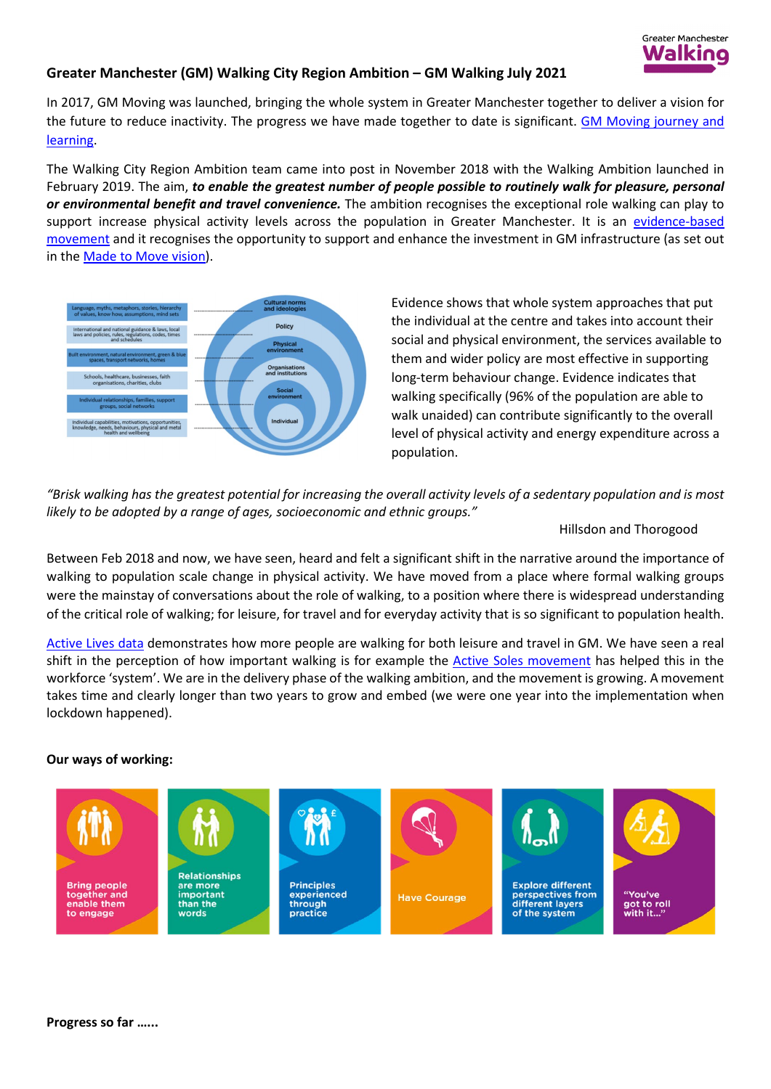

## **Greater Manchester (GM) Walking City Region Ambition – GM Walking July 2021**

In 2017, GM Moving was launched, bringing the whole system in Greater Manchester together to deliver a vision for the future to reduce inactivity. The progress we have made together to date is significant. [GM Moving journey and](https://hayleyleverblog.wordpress.com/2020/06/11/learning-all-the-time/)  [learning.](https://hayleyleverblog.wordpress.com/2020/06/11/learning-all-the-time/)

The Walking City Region Ambition team came into post in November 2018 with the Walking Ambition launched in February 2019. The aim, *to enable the greatest number of people possible to routinely walk for pleasure, personal or environmental benefit and travel convenience.* The ambition recognises the exceptional role walking can play to support increase physical activity levels across the population in Greater Manchester. It is an [evidence-based](https://www.greatersport.co.uk/media/3103/gm-walking-tf-project-initiation-document-website-version.pdf)  [movement](https://www.greatersport.co.uk/media/3103/gm-walking-tf-project-initiation-document-website-version.pdf) and it recognises the opportunity to support and enhance the investment in GM infrastructure (as set out in the [Made to Move vision\)](https://tfgm.com/made-to-move/bee-network).



Evidence shows that whole system approaches that put the individual at the centre and takes into account their social and physical environment, the services available to them and wider policy are most effective in supporting long-term behaviour change. Evidence indicates that walking specifically (96% of the population are able to walk unaided) can contribute significantly to the overall level of physical activity and energy expenditure across a population.

*"Brisk walking has the greatest potential for increasing the overall activity levels of a sedentary population and is most likely to be adopted by a range of ages, socioeconomic and ethnic groups."* 

Hillsdon and Thorogood

Between Feb 2018 and now, we have seen, heard and felt a significant shift in the narrative around the importance of walking to population scale change in physical activity. We have moved from a place where formal walking groups were the mainstay of conversations about the role of walking, to a position where there is widespread understanding of the critical role of walking; for leisure, for travel and for everyday activity that is so significant to population health.

[Active Lives data](https://gmwalking.co.uk/latest-physical-activity-data-released/) demonstrates how more people are walking for both leisure and travel in GM. We have seen a real shift in the perception of how important walking is for example the Active Soles movement has helped this in the workforce 'system'. We are in the delivery phase of the walking ambition, and the movement is growing. A movement takes time and clearly longer than two years to grow and embed (we were one year into the implementation when lockdown happened).

## **Our ways of working:**